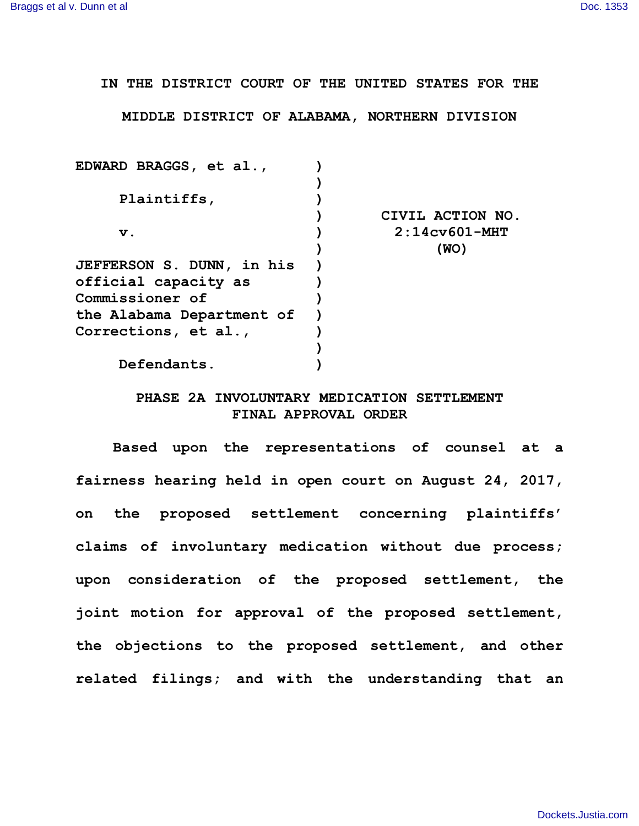**IN THE DISTRICT COURT OF THE UNITED STATES FOR THE**

**MIDDLE DISTRICT OF ALABAMA, NORTHERN DIVISION**

| EDWARD BRAGGS, et al.,           |                  |
|----------------------------------|------------------|
|                                  |                  |
| Plaintiffs,                      |                  |
|                                  | CIVIL ACTION NO. |
| $\mathbf v$ .                    | $2:14c$ v601-MHT |
|                                  | (WO)             |
| <b>JEFFERSON S. DUNN, in his</b> |                  |
| official capacity as             |                  |
| Commissioner of                  |                  |
| the Alabama Department of        |                  |
| Corrections, et al.,             |                  |
|                                  |                  |
| Defendants.                      |                  |
|                                  |                  |

## **PHASE 2A INVOLUNTARY MEDICATION SETTLEMENT FINAL APPROVAL ORDER**

**Based upon the representations of counsel at a fairness hearing held in open court on August 24, 2017, on the proposed settlement concerning plaintiffs' claims of involuntary medication without due process; upon consideration of the proposed settlement, the joint motion for approval of the proposed settlement, the objections to the proposed settlement, and other related filings; and with the understanding that an**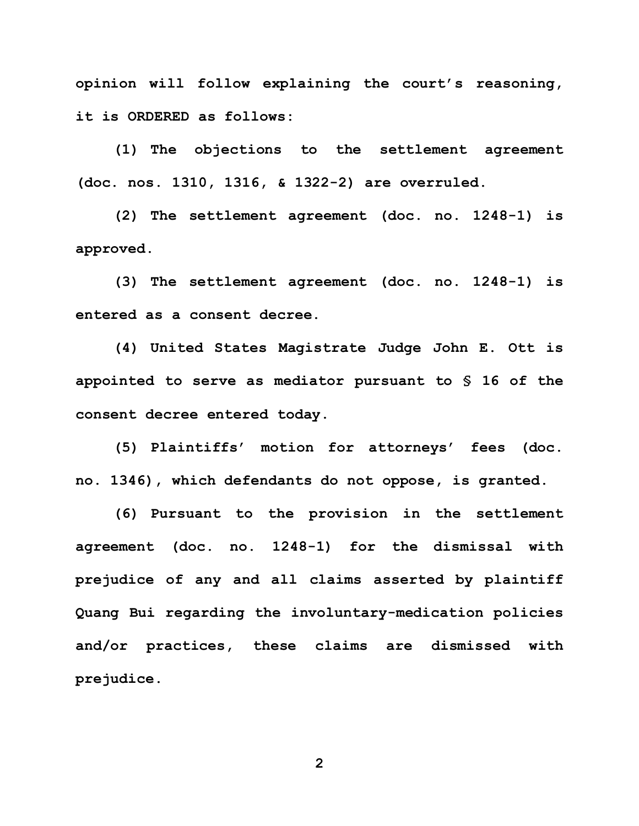**opinion will follow explaining the court's reasoning, it is ORDERED as follows:** 

**(1) The objections to the settlement agreement (doc. nos. 1310, 1316, & 1322-2) are overruled.**

**(2) The settlement agreement (doc. no. 1248-1) is approved.**

**(3) The settlement agreement (doc. no. 1248-1) is entered as a consent decree.** 

**(4) United States Magistrate Judge John E. Ott is appointed to serve as mediator pursuant to § 16 of the consent decree entered today.**

**(5) Plaintiffs' motion for attorneys' fees (doc. no. 1346), which defendants do not oppose, is granted.**

**(6) Pursuant to the provision in the settlement agreement (doc. no. 1248-1) for the dismissal with prejudice of any and all claims asserted by plaintiff Quang Bui regarding the involuntary-medication policies and/or practices, these claims are dismissed with prejudice.**

**2**